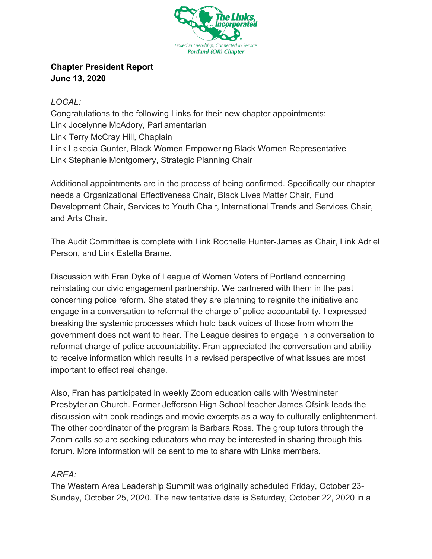

## **Chapter President Report June 13, 2020**

*LOCAL:* Congratulations to the following Links for their new chapter appointments: Link Jocelynne McAdory, Parliamentarian

Link Terry McCray Hill, Chaplain Link Lakecia Gunter, Black Women Empowering Black Women Representative Link Stephanie Montgomery, Strategic Planning Chair

Additional appointments are in the process of being confirmed. Specifically our chapter needs a Organizational Effectiveness Chair, Black Lives Matter Chair, Fund Development Chair, Services to Youth Chair, International Trends and Services Chair, and Arts Chair.

The Audit Committee is complete with Link Rochelle Hunter-James as Chair, Link Adriel Person, and Link Estella Brame.

Discussion with Fran Dyke of League of Women Voters of Portland concerning reinstating our civic engagement partnership. We partnered with them in the past concerning police reform. She stated they are planning to reignite the initiative and engage in a conversation to reformat the charge of police accountability. I expressed breaking the systemic processes which hold back voices of those from whom the government does not want to hear. The League desires to engage in a conversation to reformat charge of police accountability. Fran appreciated the conversation and ability to receive information which results in a revised perspective of what issues are most important to effect real change.

Also, Fran has participated in weekly Zoom education calls with Westminster Presbyterian Church. Former Jefferson High School teacher James Ofsink leads the discussion with book readings and movie excerpts as a way to culturally enlightenment. The other coordinator of the program is Barbara Ross. The group tutors through the Zoom calls so are seeking educators who may be interested in sharing through this forum. More information will be sent to me to share with Links members.

## *AREA:*

The Western Area Leadership Summit was originally scheduled Friday, October 23- Sunday, October 25, 2020. The new tentative date is Saturday, October 22, 2020 in a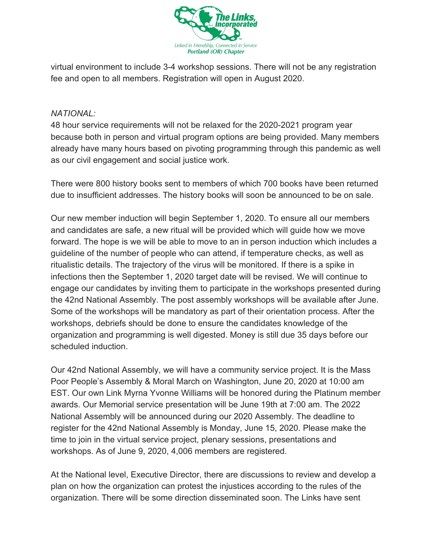

virtual environment to include 3-4 workshop sessions. There will not be any registration fee and open to all members. Registration will open in August 2020.

## *NATIONAL:*

48 hour service requirements will not be relaxed for the 2020-2021 program year because both in person and virtual program options are being provided. Many members already have many hours based on pivoting programming through this pandemic as well as our civil engagement and social justice work.

There were 800 history books sent to members of which 700 books have been returned due to insufficient addresses. The history books will soon be announced to be on sale.

Our new member induction will begin September 1, 2020. To ensure all our members and candidates are safe, a new ritual will be provided which will guide how we move forward. The hope is we will be able to move to an in person induction which includes a guideline of the number of people who can attend, if temperature checks, as well as ritualistic details. The trajectory of the virus will be monitored. If there is a spike in infections then the September 1, 2020 target date will be revised. We will continue to engage our candidates by inviting them to participate in the workshops presented during the 42nd National Assembly. The post assembly workshops will be available after June. Some of the workshops will be mandatory as part of their orientation process. After the workshops, debriefs should be done to ensure the candidates knowledge of the organization and programming is well digested. Money is still due 35 days before our scheduled induction.

Our 42nd National Assembly, we will have a community service project. It is the Mass Poor People's Assembly & Moral March on Washington, June 20, 2020 at 10:00 am EST. Our own Link Myrna Yvonne Williams will be honored during the Platinum member awards. Our Memorial service presentation will be June 19th at 7:00 am. The 2022 National Assembly will be announced during our 2020 Assembly. The deadline to register for the 42nd National Assembly is Monday, June 15, 2020. Please make the time to join in the virtual service project, plenary sessions, presentations and workshops. As of June 9, 2020, 4,006 members are registered.

At the National level, Executive Director, there are discussions to review and develop a plan on how the organization can protest the injustices according to the rules of the organization. There will be some direction disseminated soon. The Links have sent